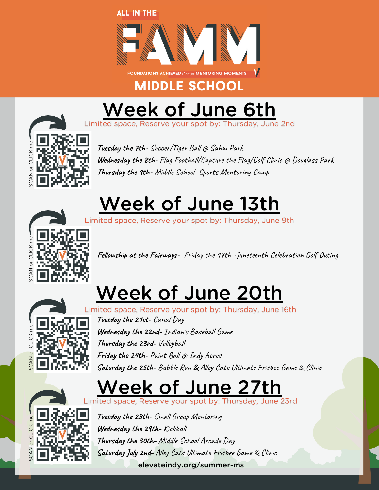

# [Week](https://forms.office.com/r/XQfjscX1ug) of June 6th





**Tuesday the 7th-** Soccer/Tiger Ball @ Sahm Park **Wednesday the 8th-** Flag Football/Capture the Flag/Golf Clinic @ Douglass Park **Thursday the 9th-** Middle School Sports Mentoring Camp

### [Week](https://forms.office.com/r/ZQQNZcxWmM) of June 13th



Limited space, Reserve your spot by: Thursday, June 9th

**Fellowship at the Fairways-** Friday the 17th -Juneteenth Celebration Golf Outing

### [Week](https://forms.office.com/r/EdLyEHpLxS) of June 20th



imited space, Reserve your spot by: Thursday, June 16th **Tuesday the 21st-** Canal Day **Wednesday the 22nd-** Indian's Baseball Game **Thursday the 23rd-** Volleyball **Friday the 24th-** Paint Ball @ Indy Acres **Saturday the 25th-** Bubble Run **&** Alley Cats Ultimate Frisbee Game & Clinic

# [Week](https://forms.office.com/r/a546ps4CKs) of June 27th<br>Dited space, Reserve your spot by: Thursday, June 23rd



**Tuesday the 28th**- Small Group Mentoring **Wednesday the 29th-** Kickball **Thursday the 30th-** Middle School Arcade Day **Saturday July 2nd-** Alley Cats Ultimate Frisbee Game & Clinic [elevateindy.org/summer-ms](http://elevateindy.org/summer-ms)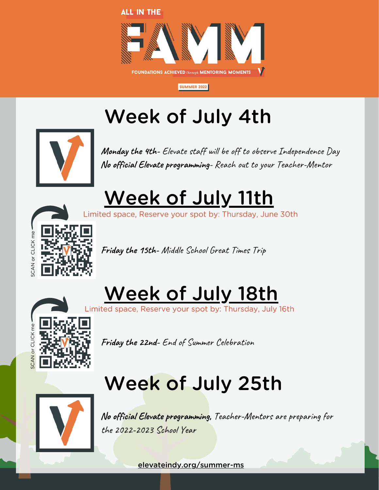

### Week of July 4th



**Monday the 4th-** Elevate staff will be off to observe Independence Day **No official Elevate programming**- Reach out to your Teacher-Mentor



Limited space, Reserve your spot by: Thursday, June 30th



**Friday the 15th-** Middle School Great Times Trip



imited space, Reserve your spot by: Thursday, July 16th



**Friday the 22nd-** End of Summer Celebration

#### Week of July 25th



No official Elevate programming, Teacher-Mentors are preparing for the 2022-2023 School Year

[elevateindy.org/summer-ms](http://elevateindy.org/summer-ms)